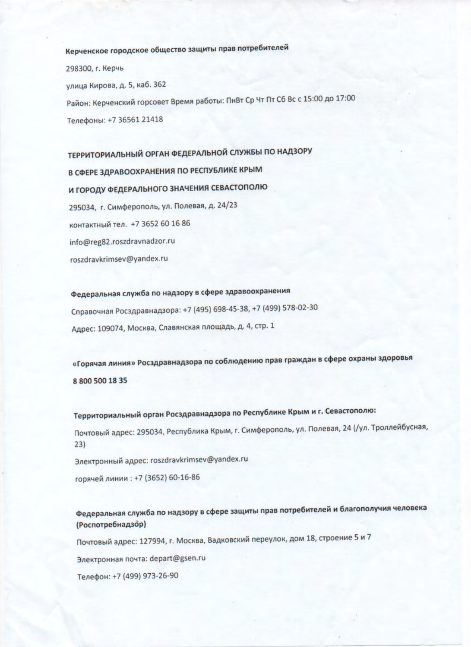Керченское городское общество защиты прав потребителей 298300, г. Керчь улица Кирова, д. 5, каб. 362 Район: Керченский горсовет Время работы: ПнВт Ср Чт Пт Сб Вс с 15:00 до 17:00 Телефоны: +7 36561 21418

ТЕРРИТОРИАЛЬНЫЙ ОРГАН ФЕДЕРАЛЬНОЙ СЛУЖБЫ ПО НАДЗОРУ В СФЕРЕ ЗДРАВООХРАНЕНИЯ ПО РЕСПУБЛИКЕ КРЫМ И ГОРОДУ ФЕДЕРАЛЬНОГО ЗНАЧЕНИЯ СЕВАСТОПОЛЮ 295034, г. Симферополь, ул. Полевая, д. 24/23 контактный тел. +7 3652 60 16 86 info@reg82.roszdravnadzor.ru roszdravkrimsev@yandex.ru

Федеральная служба по надзору в сфере здравоохранения Справочная Росздравнадзора: +7 (495) 698-45-38, +7 (499) 578-02-30 Адрес: 109074, Москва, Славянская площадь, д. 4, стр. 1

«Горячая линия» Росздравнадзора по соблюдению прав граждан в сфере охраны здоровья 8 800 500 18 35

Территориальный орган Росздравнадзора по Республике Крым и г. Севастополю:

Почтовый адрес: 295034, Республика Крым, г. Симферополь, ул. Полевая, 24 (/ул. Троллейбусная,  $23)$ 

Электронный адрес: roszdravkrimsev@yandex.ru

горячей линии: +7 (3652) 60-16-86

Федеральная служба по надзору в сфере защиты прав потребителей и благополучия человека (Роспотребнадзор)

Почтовый адрес: 127994, г. Москва, Вадковский переулок, дом 18, строение 5 и 7

Электронная почта: depart@gsen.ru

Телефон: +7 (499) 973-26-90